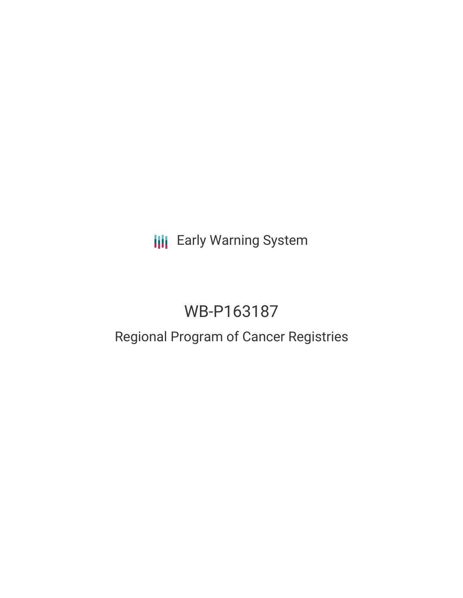**III** Early Warning System

# WB-P163187

## Regional Program of Cancer Registries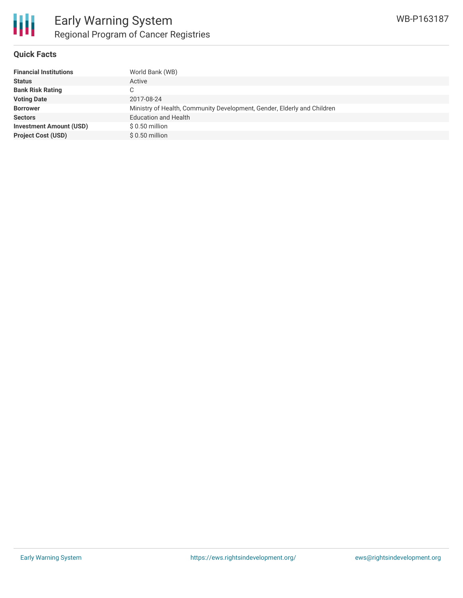

#### **Quick Facts**

| <b>Financial Institutions</b>  | World Bank (WB)                                                         |
|--------------------------------|-------------------------------------------------------------------------|
| <b>Status</b>                  | Active                                                                  |
| <b>Bank Risk Rating</b>        | С                                                                       |
| <b>Voting Date</b>             | 2017-08-24                                                              |
| <b>Borrower</b>                | Ministry of Health, Community Development, Gender, Elderly and Children |
| <b>Sectors</b>                 | <b>Education and Health</b>                                             |
| <b>Investment Amount (USD)</b> | $$0.50$ million                                                         |
| <b>Project Cost (USD)</b>      | $$0.50$ million                                                         |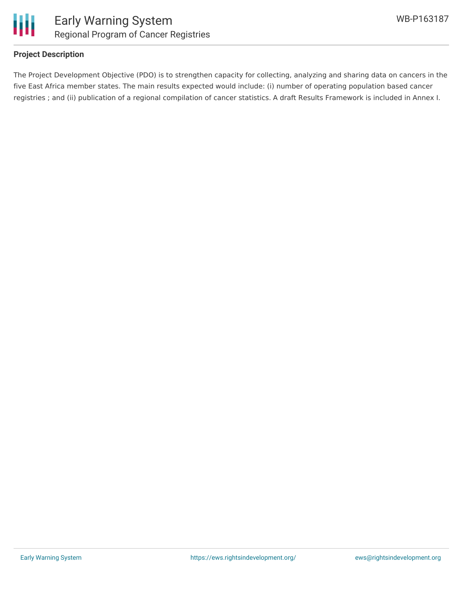



#### **Project Description**

The Project Development Objective (PDO) is to strengthen capacity for collecting, analyzing and sharing data on cancers in the five East Africa member states. The main results expected would include: (i) number of operating population based cancer registries ; and (ii) publication of a regional compilation of cancer statistics. A draft Results Framework is included in Annex I.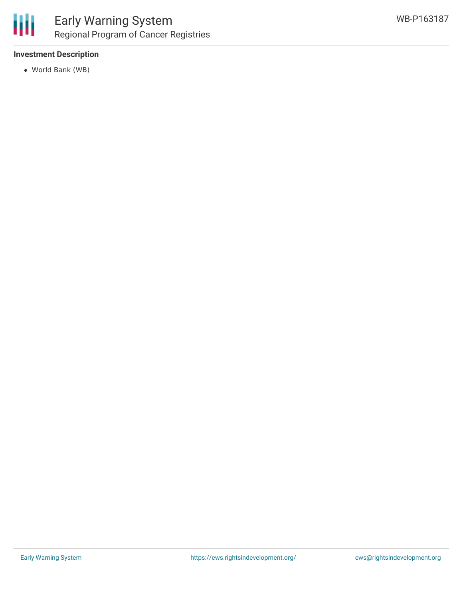

#### **Investment Description**

World Bank (WB)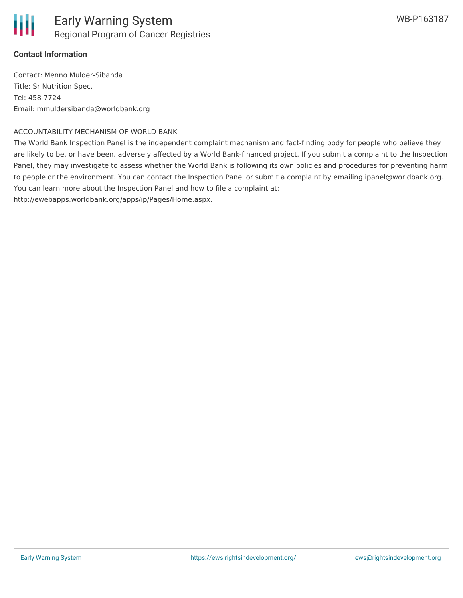

#### **Contact Information**

Contact: Menno Mulder-Sibanda Title: Sr Nutrition Spec. Tel: 458-7724 Email: mmuldersibanda@worldbank.org

#### ACCOUNTABILITY MECHANISM OF WORLD BANK

The World Bank Inspection Panel is the independent complaint mechanism and fact-finding body for people who believe they are likely to be, or have been, adversely affected by a World Bank-financed project. If you submit a complaint to the Inspection Panel, they may investigate to assess whether the World Bank is following its own policies and procedures for preventing harm to people or the environment. You can contact the Inspection Panel or submit a complaint by emailing ipanel@worldbank.org. You can learn more about the Inspection Panel and how to file a complaint at:

http://ewebapps.worldbank.org/apps/ip/Pages/Home.aspx.